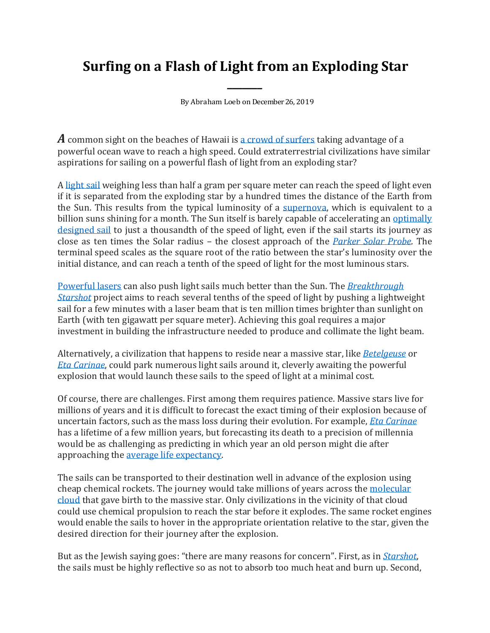## **Surfing on a Flash of Light from an Exploding Star**

*\_\_\_\_\_\_\_*

By Abraham Loeb on December26, 2019

*A* common sight on the beaches of Hawaii i[s a crowd of surfers](https://www.gohawaii.com/experiences/adventure/surfing) taking advantage of a powerful ocean wave to reach a high speed. Could extraterrestrial civilizations have similar aspirations for sailing on a powerful flash of light from an exploding star?

A [light](https://en.wikipedia.org/wiki/Solar_sail) sail weighing less than half a gram per square meter can reach the speed of light even if it is separated from the exploding star by a hundred times the distance of the Earth from the Sun. This results from the typical luminosity of a [supernova,](https://en.wikipedia.org/wiki/Supernova) which is equivalent to a billion suns shining for a month. The Sun itself is barely capable of accelerating an optimally [designed sail](https://en.wikipedia.org/wiki/Solar_sail) to just a thousandth of the speed of light, even if the sail starts its journey as close as ten times the Solar radius – the closest approach of the *[Parker Solar Probe](https://www.nasa.gov/content/goddard/parker-solar-probe)*. The terminal speed scales as the square root of the ratio between the star's luminosity over the initial distance, and can reach a tenth of the speed of light for the most luminous stars.

[Powerful lasers](https://www.researchgate.net/publication/238189626_Roundtrip_interstellar_travel_using_laser-pushed_lightsails) can also push light sails much better than the Sun. The *[Breakthrough](https://www.cfa.harvard.edu/~loeb/Loeb_Starshot.pdf)  [Starshot](https://www.cfa.harvard.edu/~loeb/Loeb_Starshot.pdf)* project aims to reach several tenths of the speed of light by pushing a lightweight sail for a few minutes with a laser beam that is ten million times brighter than sunlight on Earth (with ten gigawatt per square meter). Achieving this goal requires a major investment in building the infrastructure needed to produce and collimate the light beam.

Alternatively, a civilization that happens to reside near a massive star, like *[Betelgeuse](https://en.wikipedia.org/wiki/Betelgeuse)* or *[Eta Carinae](https://en.wikipedia.org/wiki/Eta_Carinae)*, could park numerous light sails around it, cleverly awaiting the powerful explosion that would launch these sails to the speed of light at a minimal cost.

Of course, there are challenges. First among them requires patience. Massive stars live for millions of years and it is difficult to forecast the exact timing of their explosion because of uncertain factors, such as the mass loss during their evolution. For example, *[Eta Carinae](https://en.wikipedia.org/wiki/Eta_Carinae)* has a lifetime of a few million years, but forecasting its death to a precision of millennia would be as challenging as predicting in which year an old person might die after approaching the [average life expectancy.](https://en.wikipedia.org/wiki/Life_expectancy) 

The sails can be transported to their destination well in advance of the explosion using cheap chemical rockets. The journey would take millions of years across the [molecular](https://en.wikipedia.org/wiki/Molecular_cloud)  [cloud](https://en.wikipedia.org/wiki/Molecular_cloud) that gave birth to the massive star. Only civilizations in the vicinity of that cloud could use chemical propulsion to reach the star before it explodes. The same rocket engines would enable the sails to hover in the appropriate orientation relative to the star, given the desired direction for their journey after the explosion.

But as the Jewish saying goes: "there are many reasons for concern". First, as in *[Starshot](https://breakthroughinitiatives.org/concept/3)*, the sails must be highly reflective so as not to absorb too much heat and burn up. Second,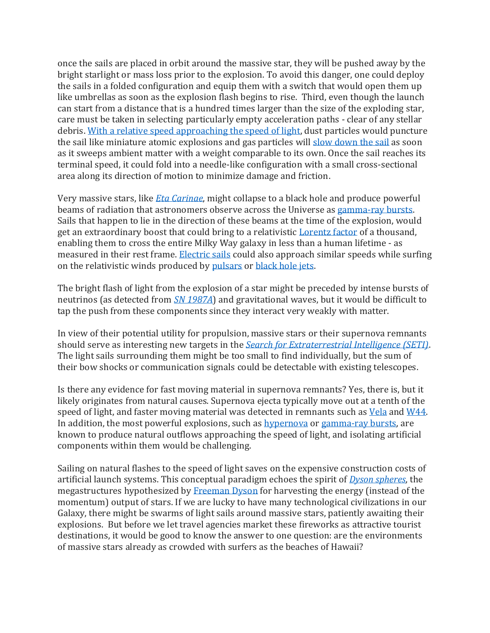once the sails are placed in orbit around the massive star, they will be pushed away by the bright starlight or mass loss prior to the explosion. To avoid this danger, one could deploy the sails in a folded configuration and equip them with a switch that would open them up like umbrellas as soon as the explosion flash begins to rise. Third, even though the launch can start from a distance that is a hundred times larger than the size of the exploding star, care must be taken in selecting particularly empty acceleration paths - clear of any stellar debris[. With a relative speed approaching the speed of light,](https://iopscience.iop.org/article/10.3847/1538-4357/aa5da6/pdf) dust particles would puncture the sail like miniature atomic explosions and gas particles will [slow down the sail](https://iopscience.iop.org/article/10.3847/2041-8213/aaeda8/pdf) as soon as it sweeps ambient matter with a weight comparable to its own. Once the sail reaches its terminal speed, it could fold into a needle-like configuration with a small cross-sectional area along its direction of motion to minimize damage and friction.

Very massive stars, like *[Eta Carinae](https://en.wikipedia.org/wiki/Eta_Carinae)*, might collapse to a black hole and produce powerful beams of radiation that astronomers observe across the Universe as [gamma-ray bursts.](https://en.wikipedia.org/wiki/Gamma-ray_burst) Sails that happen to lie in the direction of these beams at the time of the explosion, would get an extraordinary boost that could bring to a relativistic [Lorentz factor](https://en.wikipedia.org/wiki/Lorentz_factor) of a thousand, enabling them to cross the entire Milky Way galaxy in less than a human lifetime - as measured in their rest frame. [Electric sails](https://arxiv.org/pdf/1911.02765.pdf) could also approach similar speeds while surfing on the relativistic winds produced by [pulsars](https://en.wikipedia.org/wiki/Pulsar_wind_nebula) or [black hole jets.](https://en.wikipedia.org/wiki/Astrophysical_jet)

The bright flash of light from the explosion of a star might be preceded by intense bursts of neutrinos (as detected from *[SN 1987A](https://en.wikipedia.org/wiki/SN_1987A)*) and gravitational waves, but it would be difficult to tap the push from these components since they interact very weakly with matter.

In view of their potential utility for propulsion, massive stars or their supernova remnants should serve as interesting new targets in the *[Search for Extraterrestrial Intelligence \(SETI\)](https://en.wikipedia.org/wiki/Search_for_extraterrestrial_intelligence)*. The light sails surrounding them might be too small to find individually, but the sum of their bow shocks or communication signals could be detectable with existing telescopes.

Is there any evidence for fast moving material in supernova remnants? Yes, there is, but it likely originates from natural causes. Supernova ejecta typically move out at a tenth of the speed of light, and faster moving material was detected in remnants such as [Vela](https://academic.oup.com/mnras/article/455/3/2529/2892447) and [W44.](https://www.natureindex.com/article/10.3847/2041-8213%2F834%2F1%2Fl3) In addition, the most powerful explosions, such as [hypernova](https://en.wikipedia.org/wiki/Hypernova) o[r gamma-ray bursts,](https://en.wikipedia.org/wiki/Gamma-ray_burst) are known to produce natural outflows approaching the speed of light, and isolating artificial components within them would be challenging.

Sailing on natural flashes to the speed of light saves on the expensive construction costs of artificial launch systems. This conceptual paradigm echoes the spirit of *[Dyson spheres](https://en.wikipedia.org/wiki/Dyson_sphere)*, the megastructures hypothesized b[y Freeman Dyson](https://en.wikipedia.org/wiki/Freeman_Dyson) for harvesting the energy (instead of the momentum) output of stars. If we are lucky to have many technological civilizations in our Galaxy, there might be swarms of light sails around massive stars, patiently awaiting their explosions. But before we let travel agencies market these fireworks as attractive tourist destinations, it would be good to know the answer to one question: are the environments of massive stars already as crowded with surfers as the beaches of Hawaii?